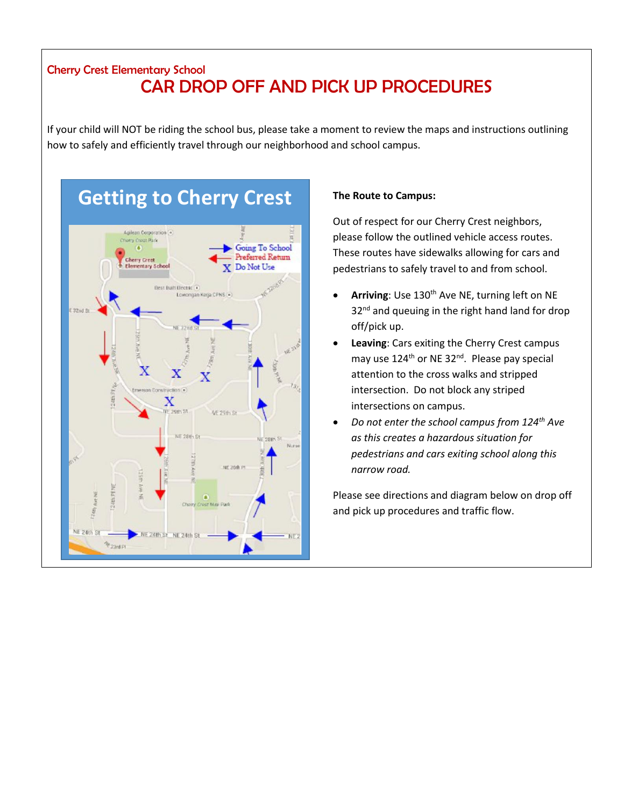## Cherry Crest Elementary School CAR DROP OFF AND PICK UP PROCEDURES

If your child will NOT be riding the school bus, please take a moment to review the maps and instructions outlining how to safely and efficiently travel through our neighborhood and school campus.

## **Getting to Cherry Crest**



## **The Route to Campus:**

Out of respect for our Cherry Crest neighbors, please follow the outlined vehicle access routes. These routes have sidewalks allowing for cars and pedestrians to safely travel to and from school.

- Arriving: Use 130<sup>th</sup> Ave NE, turning left on NE 32<sup>nd</sup> and queuing in the right hand land for drop off/pick up.
- **Leaving**: Cars exiting the Cherry Crest campus may use 124<sup>th</sup> or NE 32<sup>nd</sup>. Please pay special attention to the cross walks and stripped intersection. Do not block any striped intersections on campus.
- *Do not enter the school campus from 124th Ave as this creates a hazardous situation for pedestrians and cars exiting school along this narrow road.*

Please see directions and diagram below on drop off and pick up procedures and traffic flow.